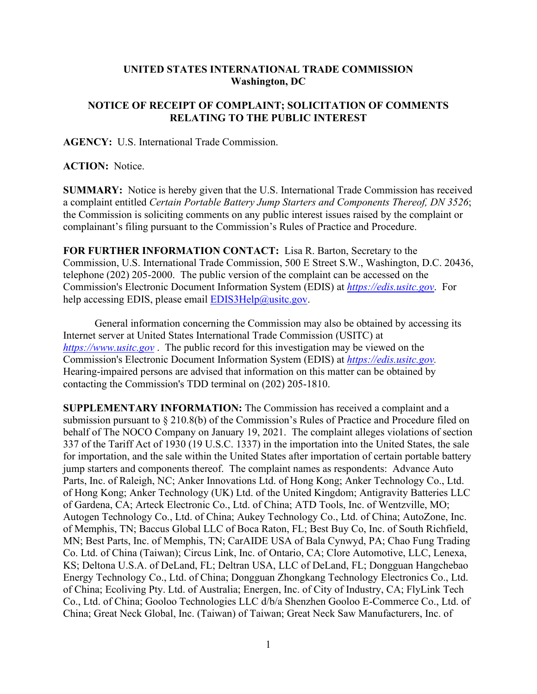## **UNITED STATES INTERNATIONAL TRADE COMMISSION Washington, DC**

## **NOTICE OF RECEIPT OF COMPLAINT; SOLICITATION OF COMMENTS RELATING TO THE PUBLIC INTEREST**

**AGENCY:** U.S. International Trade Commission.

## **ACTION:** Notice.

**SUMMARY:** Notice is hereby given that the U.S. International Trade Commission has received a complaint entitled *Certain Portable Battery Jump Starters and Components Thereof, DN 3526*; the Commission is soliciting comments on any public interest issues raised by the complaint or complainant's filing pursuant to the Commission's Rules of Practice and Procedure.

**FOR FURTHER INFORMATION CONTACT:** Lisa R. Barton, Secretary to the Commission, U.S. International Trade Commission, 500 E Street S.W., Washington, D.C. 20436, telephone (202) 205-2000. The public version of the complaint can be accessed on the Commission's Electronic Document Information System (EDIS) at *[https://edis.usitc.gov](https://edis.usitc.gov/)*. For help accessing EDIS, please email [EDIS3Help@usitc.gov.](mailto:EDIS3Help@usitc.gov)

General information concerning the Commission may also be obtained by accessing its Internet server at United States International Trade Commission (USITC) at *[https://www.usitc.gov](https://www.usitc.gov/)* . The public record for this investigation may be viewed on the Commission's Electronic Document Information System (EDIS) at *[https://edis.usitc.gov.](https://edis.usitc.gov/)* Hearing-impaired persons are advised that information on this matter can be obtained by contacting the Commission's TDD terminal on (202) 205-1810.

**SUPPLEMENTARY INFORMATION:** The Commission has received a complaint and a submission pursuant to § 210.8(b) of the Commission's Rules of Practice and Procedure filed on behalf of The NOCO Company on January 19, 2021. The complaint alleges violations of section 337 of the Tariff Act of 1930 (19 U.S.C. 1337) in the importation into the United States, the sale for importation, and the sale within the United States after importation of certain portable battery jump starters and components thereof. The complaint names as respondents: Advance Auto Parts, Inc. of Raleigh, NC; Anker Innovations Ltd. of Hong Kong; Anker Technology Co., Ltd. of Hong Kong; Anker Technology (UK) Ltd. of the United Kingdom; Antigravity Batteries LLC of Gardena, CA; Arteck Electronic Co., Ltd. of China; ATD Tools, Inc. of Wentzville, MO; Autogen Technology Co., Ltd. of China; Aukey Technology Co., Ltd. of China; AutoZone, Inc. of Memphis, TN; Baccus Global LLC of Boca Raton, FL; Best Buy Co, Inc. of South Richfield, MN; Best Parts, Inc. of Memphis, TN; CarAIDE USA of Bala Cynwyd, PA; Chao Fung Trading Co. Ltd. of China (Taiwan); Circus Link, Inc. of Ontario, CA; Clore Automotive, LLC, Lenexa, KS; Deltona U.S.A. of DeLand, FL; Deltran USA, LLC of DeLand, FL; Dongguan Hangchebao Energy Technology Co., Ltd. of China; Dongguan Zhongkang Technology Electronics Co., Ltd. of China; Ecoliving Pty. Ltd. of Australia; Energen, Inc. of City of Industry, CA; FlyLink Tech Co., Ltd. of China; Gooloo Technologies LLC d/b/a Shenzhen Gooloo E-Commerce Co., Ltd. of China; Great Neck Global, Inc. (Taiwan) of Taiwan; Great Neck Saw Manufacturers, Inc. of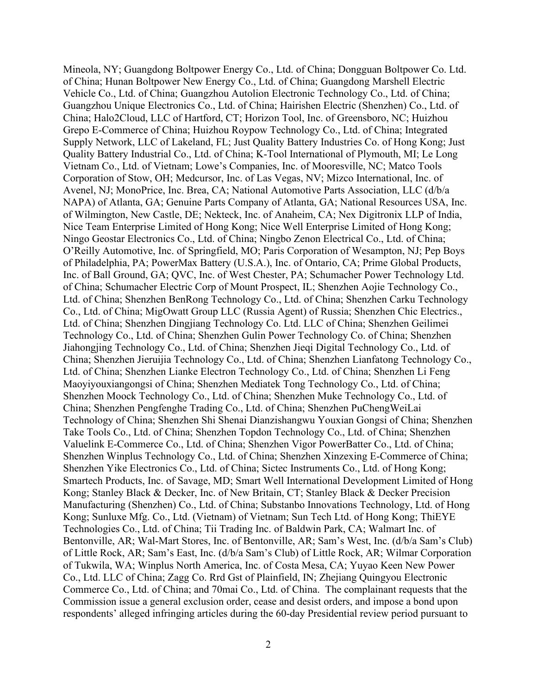Mineola, NY; Guangdong Boltpower Energy Co., Ltd. of China; Dongguan Boltpower Co. Ltd. of China; Hunan Boltpower New Energy Co., Ltd. of China; Guangdong Marshell Electric Vehicle Co., Ltd. of China; Guangzhou Autolion Electronic Technology Co., Ltd. of China; Guangzhou Unique Electronics Co., Ltd. of China; Hairishen Electric (Shenzhen) Co., Ltd. of China; Halo2Cloud, LLC of Hartford, CT; Horizon Tool, Inc. of Greensboro, NC; Huizhou Grepo E-Commerce of China; Huizhou Roypow Technology Co., Ltd. of China; Integrated Supply Network, LLC of Lakeland, FL; Just Quality Battery Industries Co. of Hong Kong; Just Quality Battery Industrial Co., Ltd. of China; K-Tool International of Plymouth, MI; Le Long Vietnam Co., Ltd. of Vietnam; Lowe's Companies, Inc. of Mooresville, NC; Matco Tools Corporation of Stow, OH; Medcursor, Inc. of Las Vegas, NV; Mizco International, Inc. of Avenel, NJ; MonoPrice, Inc. Brea, CA; National Automotive Parts Association, LLC (d/b/a NAPA) of Atlanta, GA; Genuine Parts Company of Atlanta, GA; National Resources USA, Inc. of Wilmington, New Castle, DE; Nekteck, Inc. of Anaheim, CA; Nex Digitronix LLP of India, Nice Team Enterprise Limited of Hong Kong; Nice Well Enterprise Limited of Hong Kong; Ningo Geostar Electronics Co., Ltd. of China; Ningbo Zenon Electrical Co., Ltd. of China; O'Reilly Automotive, Inc. of Springfield, MO; Paris Corporation of Wesampton, NJ; Pep Boys of Philadelphia, PA; PowerMax Battery (U.S.A.), Inc. of Ontario, CA; Prime Global Products, Inc. of Ball Ground, GA; QVC, Inc. of West Chester, PA; Schumacher Power Technology Ltd. of China; Schumacher Electric Corp of Mount Prospect, IL; Shenzhen Aojie Technology Co., Ltd. of China; Shenzhen BenRong Technology Co., Ltd. of China; Shenzhen Carku Technology Co., Ltd. of China; MigOwatt Group LLC (Russia Agent) of Russia; Shenzhen Chic Electrics., Ltd. of China; Shenzhen Dingjiang Technology Co. Ltd. LLC of China; Shenzhen Geilimei Technology Co., Ltd. of China; Shenzhen Gulin Power Technology Co. of China; Shenzhen Jiahongjing Technology Co., Ltd. of China; Shenzhen Jieqi Digital Technology Co., Ltd. of China; Shenzhen Jieruijia Technology Co., Ltd. of China; Shenzhen Lianfatong Technology Co., Ltd. of China; Shenzhen Lianke Electron Technology Co., Ltd. of China; Shenzhen Li Feng Maoyiyouxiangongsi of China; Shenzhen Mediatek Tong Technology Co., Ltd. of China; Shenzhen Moock Technology Co., Ltd. of China; Shenzhen Muke Technology Co., Ltd. of China; Shenzhen Pengfenghe Trading Co., Ltd. of China; Shenzhen PuChengWeiLai Technology of China; Shenzhen Shi Shenai Dianzishangwu Youxian Gongsi of China; Shenzhen Take Tools Co., Ltd. of China; Shenzhen Topdon Technology Co., Ltd. of China; Shenzhen Valuelink E-Commerce Co., Ltd. of China; Shenzhen Vigor PowerBatter Co., Ltd. of China; Shenzhen Winplus Technology Co., Ltd. of China; Shenzhen Xinzexing E-Commerce of China; Shenzhen Yike Electronics Co., Ltd. of China; Sictec Instruments Co., Ltd. of Hong Kong; Smartech Products, Inc. of Savage, MD; Smart Well International Development Limited of Hong Kong; Stanley Black & Decker, Inc. of New Britain, CT; Stanley Black & Decker Precision Manufacturing (Shenzhen) Co., Ltd. of China; Substanbo Innovations Technology, Ltd. of Hong Kong; Sunluxe Mfg. Co., Ltd. (Vietnam) of Vietnam; Sun Tech Ltd. of Hong Kong; ThiEYE Technologies Co., Ltd. of China; Tii Trading Inc. of Baldwin Park, CA; Walmart Inc. of Bentonville, AR; Wal-Mart Stores, Inc. of Bentonville, AR; Sam's West, Inc. (d/b/a Sam's Club) of Little Rock, AR; Sam's East, Inc. (d/b/a Sam's Club) of Little Rock, AR; Wilmar Corporation of Tukwila, WA; Winplus North America, Inc. of Costa Mesa, CA; Yuyao Keen New Power Co., Ltd. LLC of China; Zagg Co. Rrd Gst of Plainfield, IN; Zhejiang Quingyou Electronic Commerce Co., Ltd. of China; and 70mai Co., Ltd. of China. The complainant requests that the Commission issue a general exclusion order, cease and desist orders, and impose a bond upon respondents' alleged infringing articles during the 60-day Presidential review period pursuant to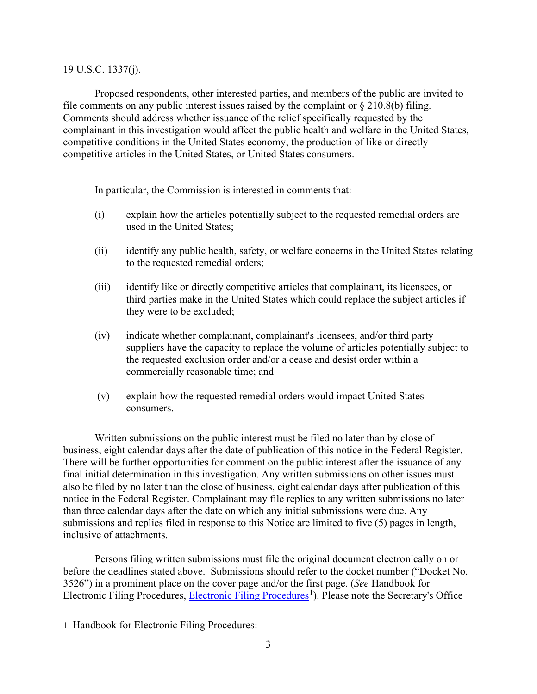## 19 U.S.C. 1337(j).

Proposed respondents, other interested parties, and members of the public are invited to file comments on any public interest issues raised by the complaint or  $\S 210.8(b)$  filing. Comments should address whether issuance of the relief specifically requested by the complainant in this investigation would affect the public health and welfare in the United States, competitive conditions in the United States economy, the production of like or directly competitive articles in the United States, or United States consumers.

In particular, the Commission is interested in comments that:

- (i) explain how the articles potentially subject to the requested remedial orders are used in the United States;
- (ii) identify any public health, safety, or welfare concerns in the United States relating to the requested remedial orders;
- (iii) identify like or directly competitive articles that complainant, its licensees, or third parties make in the United States which could replace the subject articles if they were to be excluded;
- (iv) indicate whether complainant, complainant's licensees, and/or third party suppliers have the capacity to replace the volume of articles potentially subject to the requested exclusion order and/or a cease and desist order within a commercially reasonable time; and
- (v) explain how the requested remedial orders would impact United States consumers.

Written submissions on the public interest must be filed no later than by close of business, eight calendar days after the date of publication of this notice in the Federal Register. There will be further opportunities for comment on the public interest after the issuance of any final initial determination in this investigation. Any written submissions on other issues must also be filed by no later than the close of business, eight calendar days after publication of this notice in the Federal Register. Complainant may file replies to any written submissions no later than three calendar days after the date on which any initial submissions were due. Any submissions and replies filed in response to this Notice are limited to five (5) pages in length, inclusive of attachments.

Persons filing written submissions must file the original document electronically on or before the deadlines stated above. Submissions should refer to the docket number ("Docket No. 3526") in a prominent place on the cover page and/or the first page. (*See* Handbook for Electronic Filing Procedures, [Electronic Filing Procedures](https://www.usitc.gov/documents/handbook_on_filing_procedures.pdf)<sup>[1](#page-2-0)</sup>). Please note the Secretary's Office

<span id="page-2-0"></span><sup>1</sup> Handbook for Electronic Filing Procedures: